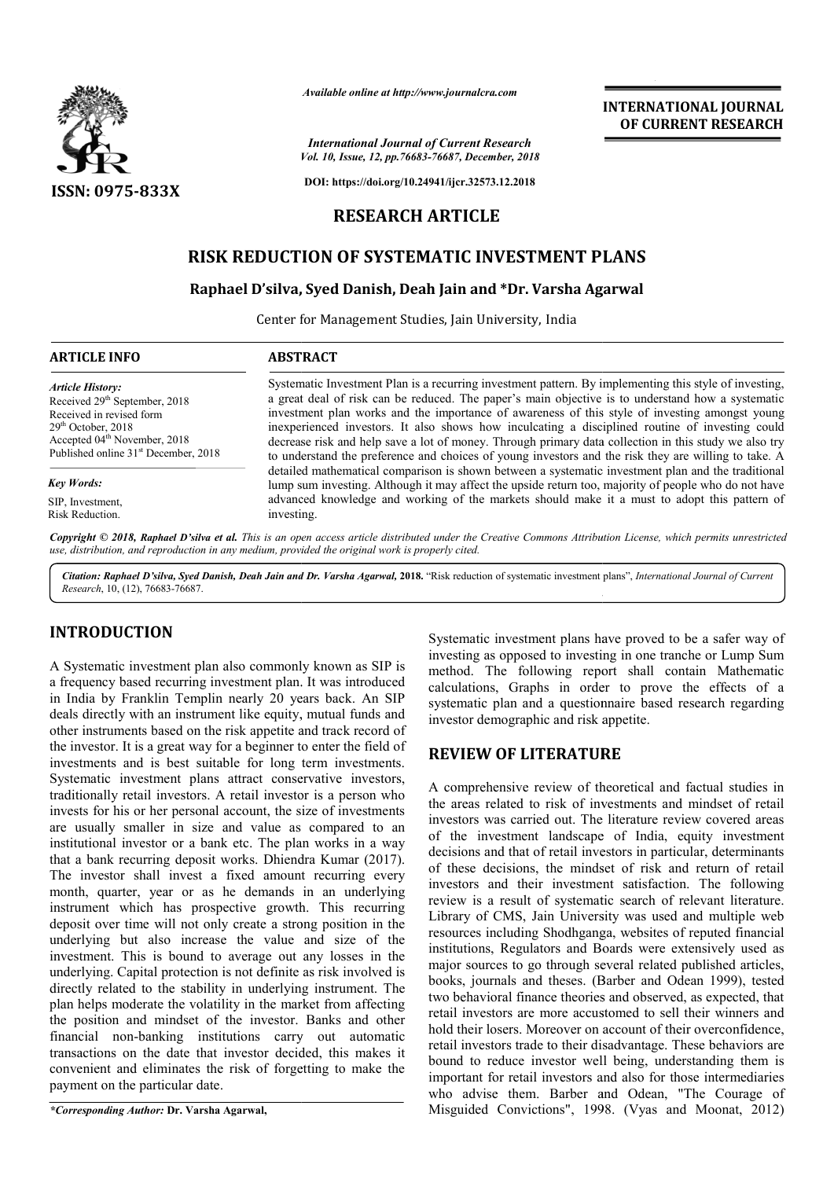

*Available online at http://www.journalcra.com*

*Vol. 10, Issue, 12, pp.76683-76687, December, 2018 International Journal of Current Research*

**DOI: https://doi.org/10.24941/ijcr.32573.12.2018**

# **RESEARCH ARTICLE**

# **RISK REDUCTION OF SYSTEMATIC INVESTMENT PLANS**

# **RISK REDUCTION OF SYSTEMATIC INVESTMENT PLANS<br>Raphael D'silva, Syed Danish, Deah Jain and \*Dr. Varsha Agarwal**

Center for Management Studies, Jain University, India

# **ARTICLE INFO ABSTRACT**

*Article History:* Received 29<sup>th</sup> September, 2018 Received in revised form 29th October, 2018 Accepted 04<sup>th</sup> November, 2018 Published online 31<sup>st</sup> December, 2018

*Key Words:*

SIP, Investment, Risk Reduction.

Systematic Investment Plan is a recurring investment pattern. By implementing this style of investing, a great deal of risk can be reduced. The paper's main objective is to understand how a systematic investment plan works and the importance of awareness of this style of investing amongst young inexperienced investors. It also shows how inculcating a disciplined routine of investing could decrease risk and help save a lot of money. Through primary data collection in this study we also try to understand the preference and choices of young investors and the risk they are willing to take. A detailed mathematical comparison is shown between a systematic investment plan and the traditional lump sum investing. Although it may affect the upside return too, majority of people who do not have advanced knowledge and working of the markets should make it a must to adopt this pattern of investing. Systematic Investment Plan is a recurring investment pattern. By implementing this style of investing, a great deal of risk can be reduced. The paper's main objective is to understand how a systematic investment plan works

Copyright © 2018, Raphael D'silva et al. This is an open access article distributed under the Creative Commons Attribution License, which permits unrestrictea *use, distribution, and reproduction in any medium, provided the original work is properly cited.*

Citation: Raphael D'silva, Syed Danish, Deah Jain and Dr. Varsha Agarwal, 2018. "Risk reduction of systematic investment plans", *International Journal of Current Research*, 10, (12), 76683-76687.

# **INTRODUCTION**

A Systematic investment plan also commonly known as SIP is a frequency based recurring investment plan. It was introduced in India by Franklin Templin nearly 20 years back. An SIP deals directly with an instrument like equity, mutual funds and other instruments based on the risk appetite and track record of the investor. It is a great way for a beginner to enter the field of investments and is best suitable for long term investments. Systematic investment plans attract conservative investors, traditionally retail investors. A retail investor is a person who the investor. It is a great way for a beginner to enter the field of investments and is best suitable for long term investments.<br>Systematic investment plans attract conservative investors, traditionally retail investors. A are usually smaller in size and value as compared to an institutional investor or a bank etc. The plan works in a way that a bank recurring deposit works. Dhiendra Kumar (2017). The investor shall invest a fixed amount recurring every month, quarter, year or as he demands in an underlying instrument which has prospective growth. This recurring deposit over time will not only create a strong position in the underlying but also increase the value and size of the investment. This is bound to average out any losses in the underlying. Capital protection is not definite as risk involved is directly related to the stability in underlying instrument. The plan helps moderate the volatility in the market from affecting the position and mindset of the investor. Banks and other financial non-banking institutions carry out automatic transactions on the date that investor decided, this makes it convenient and eliminates the risk of forgetting to make the payment on the particular date. Example, to, (12), *ness*-*censi*.<br>
Systematic investment plans have proved<br>
Systematic investment plans have proved<br>
contenting investment plan, the variated and most summarized by the<br>systematic investment plan, the syst

*\*Corresponding Author:* **Dr. Varsha Agarwal,**

Systematic investment plans have proved to be a safer way of investing as opposed to investing in one tranche or Lump Sum investing as opposed to investing in one tranche or Lump Sum<br>method. The following report shall contain Mathematic calculations, Graphs in order to prove the effects of a calculations, Graphs in order to prove the effects of a systematic plan and a questionnaire based research regarding investor demographic and risk appetite.

**INTERNATIONAL JOURNAL OF CURRENT RESEARCH**

# **REVIEW OF LITERATURE OF LITERATURE**

A comprehensive review of theoretical and factual studies in the areas related to risk of investments and mindset of retail investors was carried out. The literature review covered areas of the investment landscape of India, equity investment decisions and that of retail investors in particular, determinants of these decisions, the mindset of risk and return of retail investors and their investment satisfaction. The following review is a result of systematic search of relevant literature. Library of CMS, Jain University was used and multiple web resources including Shodhganga, websites of reputed financial institutions, Regulators and Boards were extensively used as major sources to go through several related published articles, books, journals and theses. (Barber and Odean 1999), tested two behavioral finance theories and observed, as expected, that retail investors are more accustomed to sell their winners and hold their losers. Moreover on account of their overconfidence, retail investors trade to their disadvantage. These behaviors are bound to reduce investor well being, understanding them is important for retail investors and also for those intermediaries who advise them. Barber and Odean, "The Courage of Misguided Convictions", 1998. (Vyas and Moonat, 2012) the areas related to risk of investments and mindset of retail investors was carried out. The literature review covered areas of the investment landscape of India, equity investment decisions and that of retail investors i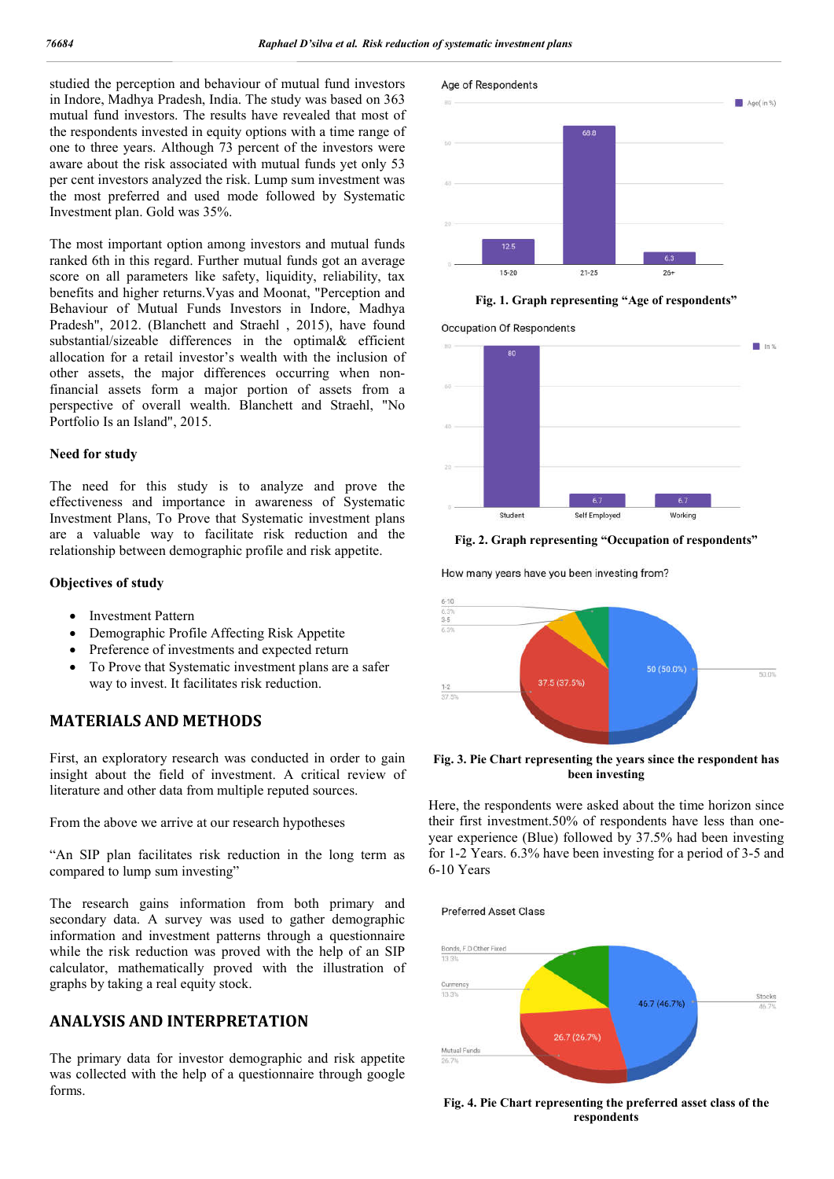studied the perception and behaviour of mutual fund investors in Indore, Madhya Pradesh, India. The study was based on 363 mutual fund investors. The results have revealed that most of the respondents invested in equity options with a time range of one to three years. Although 73 percent of the investors were aware about the risk associated with mutual funds yet only 53 per cent investors analyzed the risk. Lump sum investment was the most preferred and used mode followed by Systematic Investment plan. Gold was 35%.

The most important option among investors and mutual funds ranked 6th in this regard. Further mutual funds got an average score on all parameters like safety, liquidity, reliability, tax benefits and higher returns.Vyas and Moonat, "Perception and Behaviour of Mutual Funds Investors in Indore, Madhya Pradesh", 2012. (Blanchett and Straehl , 2015), have found substantial/sizeable differences in the optimal& efficient allocation for a retail investor's wealth with the inclusion of other assets, the major differences occurring when nonfinancial assets form a major portion of assets from a perspective of overall wealth. Blanchett and Straehl, "No Portfolio Is an Island", 2015.

#### **Need for study**

The need for this study is to analyze and prove the effectiveness and importance in awareness of Systematic Investment Plans, To Prove that Systematic investment plans are a valuable way to facilitate risk reduction and the relationship between demographic profile and risk appetite.

## **Objectives of study**

- Investment Pattern
- Demographic Profile Affecting Risk Appetite
- Preference of investments and expected return
- To Prove that Systematic investment plans are a safer way to invest. It facilitates risk reduction.

# **MATERIALS AND METHODS**

First, an exploratory research was conducted in order to gain insight about the field of investment. A critical review of literature and other data from multiple reputed sources.

From the above we arrive at our research hypotheses

"An SIP plan facilitates risk reduction in the long term as compared to lump sum investing"

The research gains information from both primary and secondary data. A survey was used to gather demographic information and investment patterns through a questionnaire while the risk reduction was proved with the help of an SIP calculator, mathematically proved with the illustration of graphs by taking a real equity stock.

# **ANALYSIS AND INTERPRETATION**

The primary data for investor demographic and risk appetite was collected with the help of a questionnaire through google forms.



**Fig. 1. Graph representing "Age of respondents"**

**Occupation Of Respondents** 



**Fig. 2. Graph representing "Occupation of respondents"**

How many years have you been investing from?



**Fig. 3. Pie Chart representing the years since the respondent has been investing**

Here, the respondents were asked about the time horizon since their first investment.50% of respondents have less than oneyear experience (Blue) followed by 37.5% had been investing for 1-2 Years. 6.3% have been investing for a period of 3-5 and 6-10 Years

**Preferred Asset Class** 



**Fig. 4. Pie Chart representing the preferred asset class of the respondents**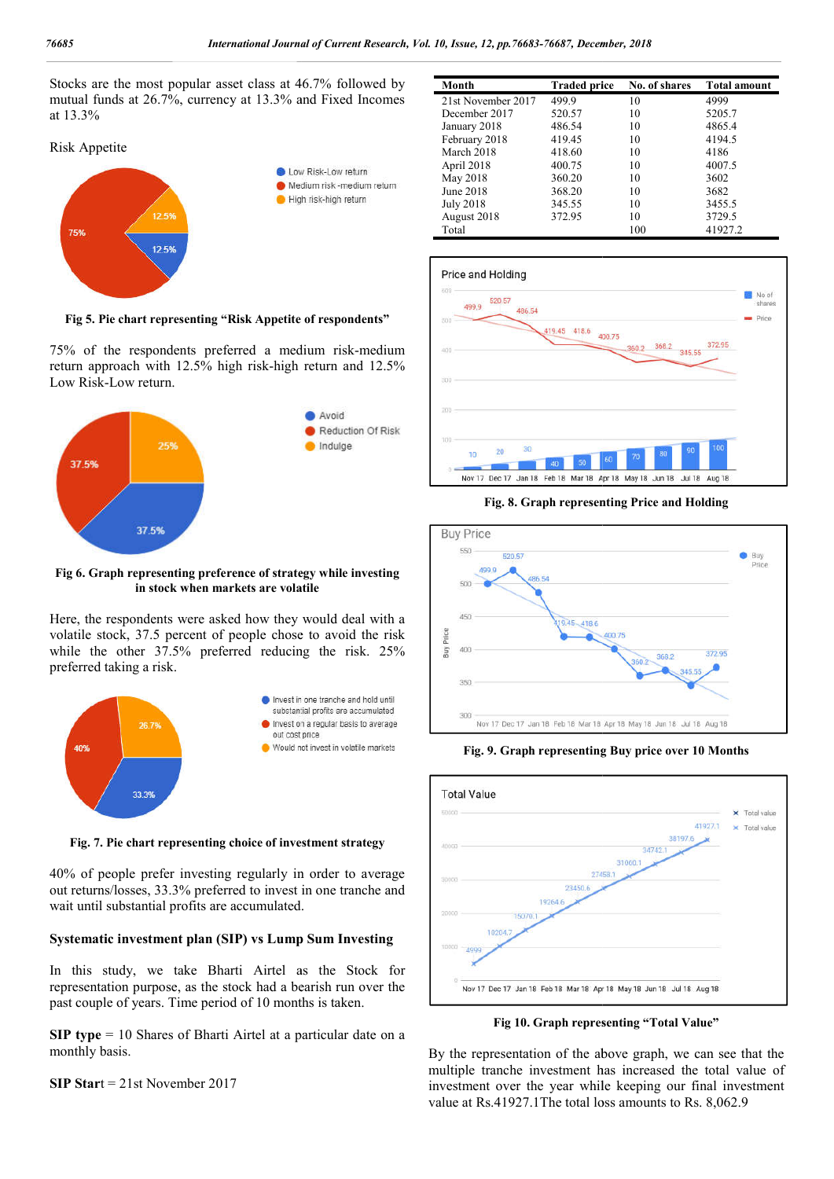Stocks are the most popular asset class at 46.7% followed by mutual funds at 26.7%, currency at 13.3% and Fixed Incomes at 13.3%

# Risk Appetite



**Fig 5. Pie chart representing "Risk Appetite of respondents"**

75% of the respondents preferred a medium risk-medium return approach with 12.5% high risk-high return and 12.5% high Low Risk-Low return.



#### **Fig 6. Graph representing preference of strategy while investi investing in stock when markets are volatile**

Here, the respondents were asked how they would deal with a volatile stock, 37.5 percent of people chose to avoid the risk while the other 37.5% preferred reducing the risk. 25% preferred taking a risk.



**Fig. 7. Pie chart representing choice of investment strategy**

40% of people prefer investing regularly in order to average out returns/losses, 33.3% preferred to invest in one tranche and wait until substantial profits are accumulated.

# **Systematic investment plan (SIP) vs Lump Sum Investing**

In this study, we take Bharti Airtel as the Stock for representation purpose, as the stock had a bearish run over the past couple of years. Time period of 10 months is taken.

**SIP type** = 10 Shares of Bharti Airtel at a particular date on a monthly basis.

**SIP Star**t = 21st November 2017

| Month              | <b>Traded price</b> | No. of shares | <b>Total amount</b> |
|--------------------|---------------------|---------------|---------------------|
| 21st November 2017 | 499.9               | 10            | 4999                |
| December 2017      | 520.57              | 10            | 5205.7              |
| January 2018       | 486.54              | 10            | 4865.4              |
| February 2018      | 419.45              | 10            | 4194.5              |
| March 2018         | 418.60              | 10            | 4186                |
| April 2018         | 400.75              | 10            | 4007.5              |
| May 2018           | 360.20              | 10            | 3602                |
| June 2018          | 368.20              | 10            | 3682                |
| <b>July 2018</b>   | 345.55              | 10            | 3455.5              |
| August 2018        | 372.95              | 10            | 3729.5              |
| Total              |                     | 100           | 41927.2             |



**Fig. 8. Graph representing Price and Holding**



**Fig. 9. Graph representing Buy price over 10 Months**



**Fig 10. Graph representing "Total Value"**

By the representation of the above graph, we can see that the By the representation of the above graph, we can see that the multiple tranche investment has increased the total value of investment over the year while keeping our final investment value at Rs.41927.1The total loss amounts to Rs. 8,062.9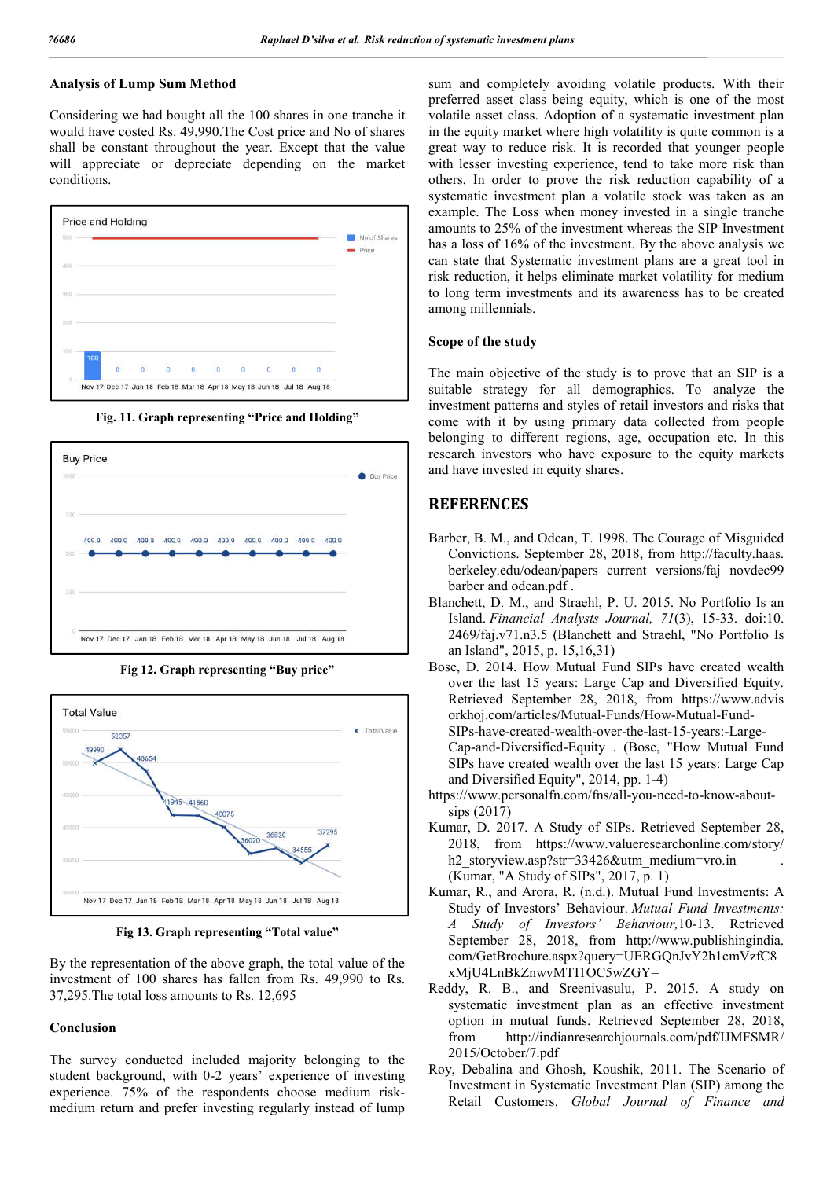# **Analysis of Lump Sum Method**

Considering we had bought all the 100 shares in one tranche it would have costed Rs. 49,990.The Cost price and No of shares shall be constant throughout the year. Except that the value will appreciate or depreciate depending on the market conditions.



**Fig. 11. Graph representing "Price and Holding"**







**Fig 13. Graph representing "Total value"**

By the representation of the above graph, the total value of the investment of 100 shares has fallen from Rs. 49,990 to Rs. 37,295.The total loss amounts to Rs. 12,695

#### **Conclusion**

The survey conducted included majority belonging to the student background, with 0-2 years' experience of investing experience. 75% of the respondents choose medium riskmedium return and prefer investing regularly instead of lump sum and completely avoiding volatile products. With their preferred asset class being equity, which is one of the most volatile asset class. Adoption of a systematic investment plan in the equity market where high volatility is quite common is a great way to reduce risk. It is recorded that younger people with lesser investing experience, tend to take more risk than others. In order to prove the risk reduction capability of a systematic investment plan a volatile stock was taken as an example. The Loss when money invested in a single tranche amounts to 25% of the investment whereas the SIP Investment has a loss of 16% of the investment. By the above analysis we can state that Systematic investment plans are a great tool in risk reduction, it helps eliminate market volatility for medium to long term investments and its awareness has to be created among millennials.

#### **Scope of the study**

The main objective of the study is to prove that an SIP is a suitable strategy for all demographics. To analyze the investment patterns and styles of retail investors and risks that come with it by using primary data collected from people belonging to different regions, age, occupation etc. In this research investors who have exposure to the equity markets and have invested in equity shares.

# **REFERENCES**

- Barber, B. M., and Odean, T. 1998. The Courage of Misguided Convictions. September 28, 2018, from http://faculty.haas. berkeley.edu/odean/papers current versions/faj novdec99 barber and odean.pdf .
- Blanchett, D. M., and Straehl, P. U. 2015. No Portfolio Is an Island. *Financial Analysts Journal, 71*(3), 15-33. doi:10. 2469/faj.v71.n3.5 (Blanchett and Straehl, "No Portfolio Is an Island", 2015, p. 15,16,31)
- Bose, D. 2014. How Mutual Fund SIPs have created wealth over the last 15 years: Large Cap and Diversified Equity. Retrieved September 28, 2018, from https://www.advis orkhoj.com/articles/Mutual-Funds/How-Mutual-Fund-SIPs-have-created-wealth-over-the-last-15-years:-Large-Cap-and-Diversified-Equity . (Bose, "How Mutual Fund SIPs have created wealth over the last 15 years: Large Cap and Diversified Equity", 2014, pp. 1-4)
- https://www.personalfn.com/fns/all-you-need-to-know-aboutsips (2017)
- Kumar, D. 2017. A Study of SIPs. Retrieved September 28, 2018, from https://www.valueresearchonline.com/story/ h2 storyview.asp?str=33426&utm\_medium=vro.in (Kumar, "A Study of SIPs", 2017, p. 1)
- Kumar, R., and Arora, R. (n.d.). Mutual Fund Investments: A Study of Investors' Behaviour. *Mutual Fund Investments: A Study of Investors' Behaviour,*10-13. Retrieved September 28, 2018, from http://www.publishingindia. com/GetBrochure.aspx?query=UERGQnJvY2h1cmVzfC8 xMjU4LnBkZnwvMTI1OC5wZGY=
- Reddy, R. B., and Sreenivasulu, P. 2015. A study on systematic investment plan as an effective investment option in mutual funds. Retrieved September 28, 2018, from http://indianresearchjournals.com/pdf/IJMFSMR/ 2015/October/7.pdf
- Roy, Debalina and Ghosh, Koushik, 2011. The Scenario of Investment in Systematic Investment Plan (SIP) among the Retail Customers. *Global Journal of Finance and*